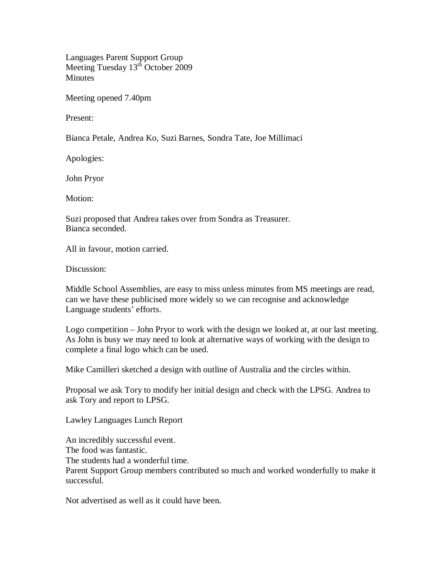Languages Parent Support Group Meeting Tuesday 13<sup>th</sup> October 2009 **Minutes** 

Meeting opened 7.40pm

Present:

Bianca Petale, Andrea Ko, Suzi Barnes, Sondra Tate, Joe Millimaci

Apologies:

John Pryor

Motion:

Suzi proposed that Andrea takes over from Sondra as Treasurer. Bianca seconded.

All in favour, motion carried.

Discussion:

Middle School Assemblies, are easy to miss unless minutes from MS meetings are read, can we have these publicised more widely so we can recognise and acknowledge Language students' efforts.

Logo competition – John Pryor to work with the design we looked at, at our last meeting. As John is busy we may need to look at alternative ways of working with the design to complete a final logo which can be used.

Mike Camilleri sketched a design with outline of Australia and the circles within.

Proposal we ask Tory to modify her initial design and check with the LPSG. Andrea to ask Tory and report to LPSG.

Lawley Languages Lunch Report

An incredibly successful event.

The food was fantastic.

The students had a wonderful time.

Parent Support Group members contributed so much and worked wonderfully to make it successful.

Not advertised as well as it could have been.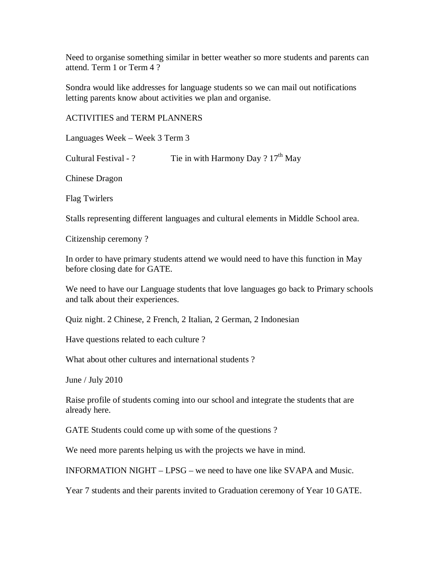Need to organise something similar in better weather so more students and parents can attend. Term 1 or Term 4 ?

Sondra would like addresses for language students so we can mail out notifications letting parents know about activities we plan and organise.

ACTIVITIES and TERM PLANNERS

Languages Week – Week 3 Term 3

Cultural Festival - ? Tie in with Harmony Day ?  $17<sup>th</sup>$  May

Chinese Dragon

Flag Twirlers

Stalls representing different languages and cultural elements in Middle School area.

Citizenship ceremony ?

In order to have primary students attend we would need to have this function in May before closing date for GATE.

We need to have our Language students that love languages go back to Primary schools and talk about their experiences.

Quiz night. 2 Chinese, 2 French, 2 Italian, 2 German, 2 Indonesian

Have questions related to each culture ?

What about other cultures and international students?

June / July 2010

Raise profile of students coming into our school and integrate the students that are already here.

GATE Students could come up with some of the questions ?

We need more parents helping us with the projects we have in mind.

INFORMATION NIGHT – LPSG – we need to have one like SVAPA and Music.

Year 7 students and their parents invited to Graduation ceremony of Year 10 GATE.